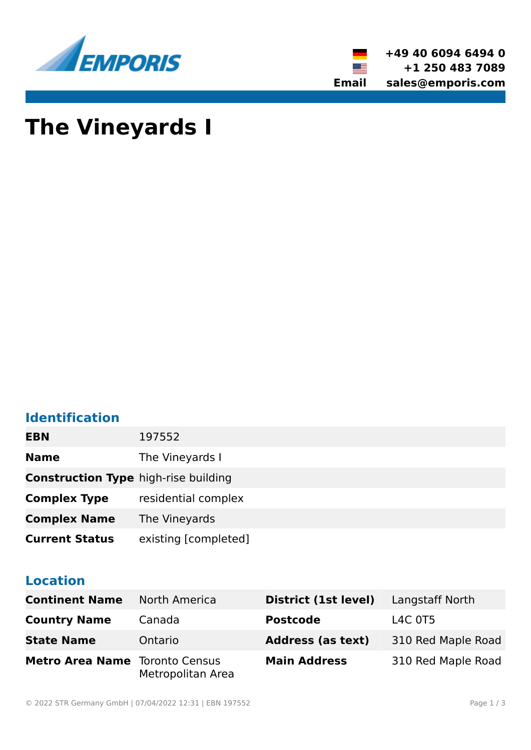



# **The Vineyards I**

# **Identification**

| <b>EBN</b>                                  | 197552               |
|---------------------------------------------|----------------------|
| <b>Name</b>                                 | The Vineyards I      |
| <b>Construction Type high-rise building</b> |                      |
| <b>Complex Type</b>                         | residential complex  |
| <b>Complex Name</b>                         | The Vineyards        |
| <b>Current Status</b>                       | existing [completed] |

### **Location**

| <b>Continent Name</b>                 | North America     | District (1st level)     | Langstaff North    |
|---------------------------------------|-------------------|--------------------------|--------------------|
| <b>Country Name</b>                   | Canada            | <b>Postcode</b>          | L4C 0T5            |
| <b>State Name</b>                     | Ontario           | <b>Address (as text)</b> | 310 Red Maple Road |
| <b>Metro Area Name</b> Toronto Census | Metropolitan Area | <b>Main Address</b>      | 310 Red Maple Road |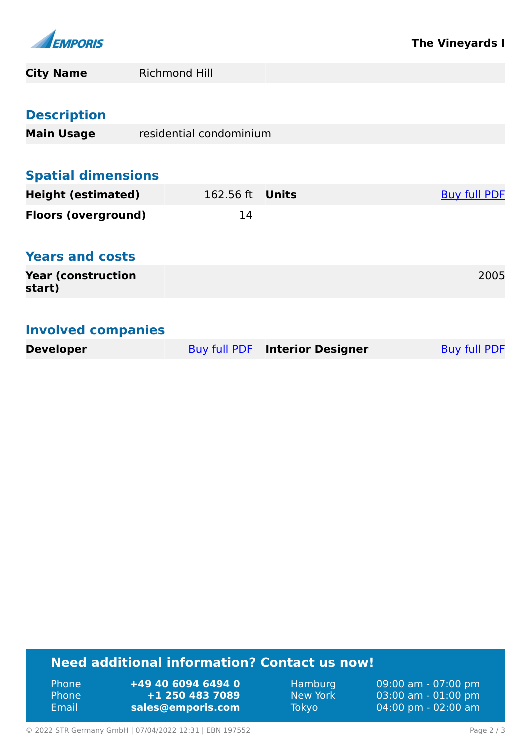

| <b>City Name</b>                    | <b>Richmond Hill</b>    |                          |                     |
|-------------------------------------|-------------------------|--------------------------|---------------------|
|                                     |                         |                          |                     |
| <b>Description</b>                  |                         |                          |                     |
| <b>Main Usage</b>                   | residential condominium |                          |                     |
|                                     |                         |                          |                     |
| <b>Spatial dimensions</b>           |                         |                          |                     |
| <b>Height (estimated)</b>           | 162.56 ft               | <b>Units</b>             | <b>Buy full PDF</b> |
| <b>Floors (overground)</b>          | 14                      |                          |                     |
|                                     |                         |                          |                     |
| <b>Years and costs</b>              |                         |                          |                     |
| <b>Year (construction</b><br>start) |                         |                          | 2005                |
|                                     |                         |                          |                     |
| <b>Involved companies</b>           |                         |                          |                     |
| <b>Developer</b>                    | Buy full PDF            | <b>Interior Designer</b> | <b>Buy full PDF</b> |
|                                     |                         |                          |                     |

## **Need additional information? Contact us now!**

Phone **+49 40 6094 6494 0**<br>Phone **+1 250 483 7089** Phone **+1 250 483 7089** Email **<sales@emporis.com>**

Hamburg 09:00 am - 07:00 pm<br>New York 03:00 am - 01:00 pm New York 03:00 am - 01:00 pm<br>Tokyo 04:00 pm - 02:00 am 04:00 pm - 02:00 am